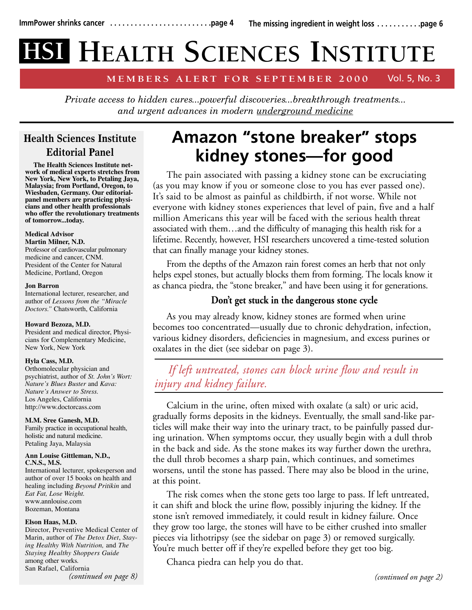# **HEALTH SCIENCES INSTITUTE HSI**

#### **MEMBERS ALERT FOR SEPTEMBER 2000**  Vol. 5, No. 3

*Private access to hidden cures...powerful discoveries...breakthrough treatments... and urgent advances in modern underground medicine*

# **Health Sciences Institute Editorial Panel**

**The Health Sciences Institute network of medical experts stretches from New York, New York, to Petaling Jaya, Malaysia; from Portland, Oregon, to Wiesbaden, Germany. Our editorialpanel members are practicing physicians and other health professionals who offer the revolutionary treatments of tomorrow...today.**

#### **Medical Advisor Martin Milner, N.D.**

Professor of cardiovascular pulmonary medicine and cancer, CNM. President of the Center for Natural Medicine, Portland, Oregon

### **Jon Barron**

International lecturer, researcher, and author of *Lessons from the "Miracle Doctors."* Chatsworth, California

### **Howard Bezoza, M.D.**

President and medical director, Physicians for Complementary Medicine, New York, New York

## **Hyla Cass, M.D.**

Orthomolecular physician and psychiatrist, author of *St. John's Wort: Nature's Blues Buster* and *Kava: Nature's Answer to Stress.* Los Angeles, California http://www.doctorcass.com

### **M.M. Sree Ganesh, M.D.**

Family practice in occupational health, holistic and natural medicine. Petaling Jaya, Malaysia

#### **Ann Louise Gittleman, N.D., C.N.S., M.S.**

International lecturer, spokesperson and author of over 15 books on health and healing including *Beyond Pritikin* and *Eat Fat, Lose Weight.* www.annlouise.com Bozeman, Montana

### **Elson Haas, M.D.**

Director, Preventive Medical Center of Marin, author of *The Detox Diet*, *Staying Healthy With Nutrition,* and *The Staying Healthy Shoppers Guide* among other works*.* San Rafael, California *(continued on page 8)*

# **Amazon "stone breaker" stops kidney stones—for good**

The pain associated with passing a kidney stone can be excruciating (as you may know if you or someone close to you has ever passed one). It's said to be almost as painful as childbirth, if not worse. While not everyone with kidney stones experiences that level of pain, five and a half million Americans this year will be faced with the serious health threat associated with them…and the difficulty of managing this health risk for a lifetime. Recently, however, HSI researchers uncovered a time-tested solution that can finally manage your kidney stones.

From the depths of the Amazon rain forest comes an herb that not only helps expel stones, but actually blocks them from forming. The locals know it as chanca piedra, the "stone breaker," and have been using it for generations.

# **Don't get stuck in the dangerous stone cycle**

As you may already know, kidney stones are formed when urine becomes too concentrated—usually due to chronic dehydration, infection, various kidney disorders, deficiencies in magnesium, and excess purines or oxalates in the diet (see sidebar on page 3).

# *If left untreated, stones can block urine flow and result in injury and kidney failure.*

Calcium in the urine, often mixed with oxalate (a salt) or uric acid, gradually forms deposits in the kidneys. Eventually, the small sand-like particles will make their way into the urinary tract, to be painfully passed during urination. When symptoms occur, they usually begin with a dull throb in the back and side. As the stone makes its way further down the urethra, the dull throb becomes a sharp pain, which continues, and sometimes worsens, until the stone has passed. There may also be blood in the urine, at this point.

The risk comes when the stone gets too large to pass. If left untreated, it can shift and block the urine flow, possibly injuring the kidney. If the stone isn't removed immediately, it could result in kidney failure. Once they grow too large, the stones will have to be either crushed into smaller pieces via lithotripsy (see the sidebar on page 3) or removed surgically. You're much better off if they're expelled before they get too big.

Chanca piedra can help you do that.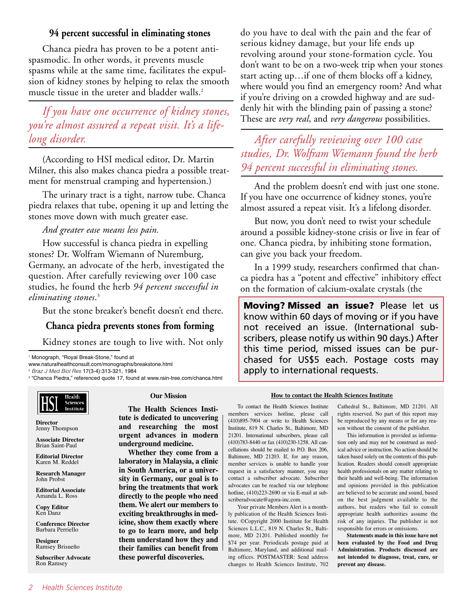## **94 percent successful in eliminating stones**

Chanca piedra has proven to be a potent antispasmodic. In other words, it prevents muscle spasms while at the same time, facilitates the expulsion of kidney stones by helping to relax the smooth muscle tissue in the ureter and bladder walls.<sup>2</sup>

*If you have one occurrence of kidney stones, you're almost assured a repeat visit. It's a lifelong disorder. After carefully reviewing over 100 case*

(According to HSI medical editor, Dr. Martin Milner, this also makes chanca piedra a possible treatment for menstrual cramping and hypertension.)

The urinary tract is a tight, narrow tube. Chanca piedra relaxes that tube, opening it up and letting the stones move down with much greater ease.

## *And greater ease means less pain.*

How successful is chanca piedra in expelling stones? Dr. Wolfram Wiemann of Nuremburg, Germany, an advocate of the herb, investigated the question. After carefully reviewing over 100 case studies, he found the herb *94 percent successful in eliminating stones*. 3

But the stone breaker's benefit doesn't end there.

# **Chanca piedra prevents stones from forming**

Kidney stones are tough to live with. Not only

<sup>1</sup> Monograph, "Royal Break-Stone," found at

www.naturalhealthconsult.com/monographs/breakstone.html

<sup>2</sup> *Braz J Med Biol Res* 17(3-4):313-321, 1984

<sup>3</sup> "Chanca Piedra," referenced quote 17, found at www.rain-tree.com/chanca.html



**Director** Jenny Thompson

**Associate Director** Brian Saint-Paul

**Editorial Director** Karen M. Reddel

**Research Manager** John Probst

**Editorial Associate** Amanda L. Ross

**Copy Editor** Ken Danz

**Conference Director** Barbara Perriello

**Designer** Ramsey Brisueño

**Subscriber Advocate** Ron Ramsey

### **Our Mission**

**The Health Sciences Institute is dedicated to uncovering and researching the most urgent advances in modern underground medicine.** 

**Whether they come from a laboratory in Malaysia, a clinic in South America, or a university in Germany, our goal is to bring the treatments that work directly to the people who need them. We alert our members to exciting breakthroughs in medicine, show them exactly where to go to learn more, and help them understand how they and their families can benefit from these powerful discoveries.**

do you have to deal with the pain and the fear of serious kidney damage, but your life ends up revolving around your stone-formation cycle. You don't want to be on a two-week trip when your stones start acting up…if one of them blocks off a kidney, where would you find an emergency room? And what if you're driving on a crowded highway and are suddenly hit with the blinding pain of passing a stone? These are *very real*, and *very dangerous* possibilities.

*studies, Dr. Wolfram Wiemann found the herb 94 percent successful in eliminating stones.*

And the problem doesn't end with just one stone. If you have one occurrence of kidney stones, you're almost assured a repeat visit. It's a lifelong disorder.

But now, you don't need to twist your schedule around a possible kidney-stone crisis or live in fear of one. Chanca piedra, by inhibiting stone formation, can give you back your freedom.

In a 1999 study, researchers confirmed that chanca piedra has a "potent and effective" inhibitory effect on the formation of calcium-oxalate crystals (the

**Moving? Missed an issue?** Please let us know within 60 days of moving or if you have not received an issue. (International subscribers, please notify us within 90 days.) After this time period, missed issues can be purchased for US\$5 each. Postage costs may apply to international requests.

#### **How to contact the Health Sciences Institute**

To contact the Health Sciences Institute members services hotline, please call (410)895-7904 or write to Health Sciences Institute, 819 N. Charles St., Baltimore, MD 21201. International subscribers, please call (410)783-8440 or fax (410)230-1258. All cancellations should be mailed to P.O. Box 206, Baltimore, MD 21203. If, for any reason, member services is unable to handle your request in a satisfactory manner, you may contact a subscriber advocate. Subscriber advocates can be reached via our telephone hotline, (410)223-2690 or via E-mail at subscriberadvocate@agora-inc.com.

Your private Members Alert is a monthly publication of the Health Sciences Institute. ©Copyright 2000 Institute for Health Sciences L.L.C., 819 N. Charles St., Baltimore, MD 21201. Published monthly for \$74 per year. Periodicals postage paid at Baltimore, Maryland, and additional mailing offices. POSTMASTER: Send address changes to Health Sciences Institute, 702

Cathedral St., Baltimore, MD 21201. All rights reserved. No part of this report may be reproduced by any means or for any reason without the consent of the publisher.

This information is provided as information only and may not be construed as medical advice or instruction. No action should be taken based solely on the contents of this publication. Readers should consult appropriate health professionals on any matter relating to their health and well-being. The information and opinions provided in this publication are believed to be accurate and sound, based on the best judgment available to the authors, but readers who fail to consult appropriate health authorities assume the risk of any injuries. The publisher is not responsible for errors or omissions.

**Statements made in this issue have not been evaluated by the Food and Drug Administration. Products discussed are not intended to diagnose, treat, cure, or prevent any disease.**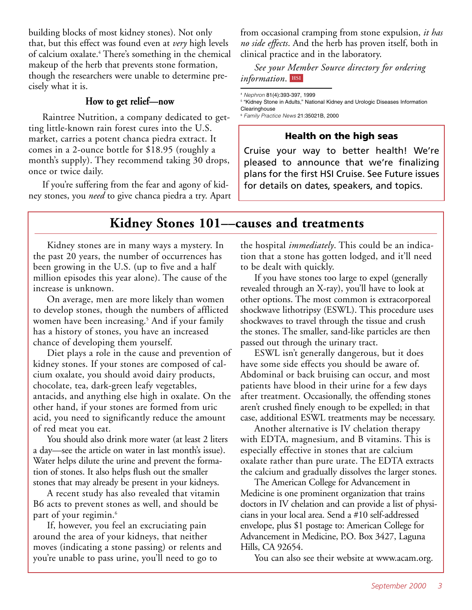building blocks of most kidney stones). Not only that, but this effect was found even at *very* high levels of calcium oxalate.4 There's something in the chemical makeup of the herb that prevents stone formation, though the researchers were unable to determine precisely what it is.

# **How to get relief—now**

Raintree Nutrition, a company dedicated to getting little-known rain forest cures into the U.S. market, carries a potent chanca piedra extract. It comes in a 2-ounce bottle for \$18.95 (roughly a month's supply). They recommend taking 30 drops, once or twice daily.

If you're suffering from the fear and agony of kidney stones, you *need* to give chanca piedra a try. Apart from occasional cramping from stone expulsion, *it has no side effects*. And the herb has proven itself, both in clinical practice and in the laboratory.

*See your Member Source directory for ordering*  $information$ . **HSI** 

<sup>5</sup> "Kidney Stone in Adults," National Kidney and Urologic Diseases Information Clearinghouse <sup>6</sup> *Family Practice News* 21:35021B, 2000

# **Health on the high seas**

Cruise your way to better health! We're pleased to announce that we're finalizing plans for the first HSI Cruise. See Future issues for details on dates, speakers, and topics.

# **Kidney Stones 101––causes and treatments**

Kidney stones are in many ways a mystery. In the past 20 years, the number of occurrences has been growing in the U.S. (up to five and a half million episodes this year alone). The cause of the increase is unknown.

On average, men are more likely than women to develop stones, though the numbers of afflicted women have been increasing.<sup>5</sup> And if your family has a history of stones, you have an increased chance of developing them yourself.

Diet plays a role in the cause and prevention of kidney stones. If your stones are composed of calcium oxalate, you should avoid dairy products, chocolate, tea, dark-green leafy vegetables, antacids, and anything else high in oxalate. On the other hand, if your stones are formed from uric acid, you need to significantly reduce the amount of red meat you eat.

You should also drink more water (at least 2 liters a day—see the article on water in last month's issue). Water helps dilute the urine and prevent the formation of stones. It also helps flush out the smaller stones that may already be present in your kidneys.

A recent study has also revealed that vitamin B6 acts to prevent stones as well, and should be part of your regimin.<sup>6</sup>

If, however, you feel an excruciating pain around the area of your kidneys, that neither moves (indicating a stone passing) or relents and you're unable to pass urine, you'll need to go to

the hospital *immediately*. This could be an indication that a stone has gotten lodged, and it'll need to be dealt with quickly.

If you have stones too large to expel (generally revealed through an X-ray), you'll have to look at other options. The most common is extracorporeal shockwave lithotripsy (ESWL). This procedure uses shockwaves to travel through the tissue and crush the stones. The smaller, sand-like particles are then passed out through the urinary tract.

ESWL isn't generally dangerous, but it does have some side effects you should be aware of. Abdominal or back bruising can occur, and most patients have blood in their urine for a few days after treatment. Occasionally, the offending stones aren't crushed finely enough to be expelled; in that case, additional ESWL treatments may be necessary.

Another alternative is IV chelation therapy with EDTA, magnesium, and B vitamins. This is especially effective in stones that are calcium oxalate rather than pure urate. The EDTA extracts the calcium and gradually dissolves the larger stones.

The American College for Advancement in Medicine is one prominent organization that trains doctors in IV chelation and can provide a list of physicians in your local area. Send a #10 self-addressed envelope, plus \$1 postage to: American College for Advancement in Medicine, P.O. Box 3427, Laguna Hills, CA 92654.

You can also see their website at www.acam.org.

<sup>4</sup> *Nephron* 81(4):393-397, 1999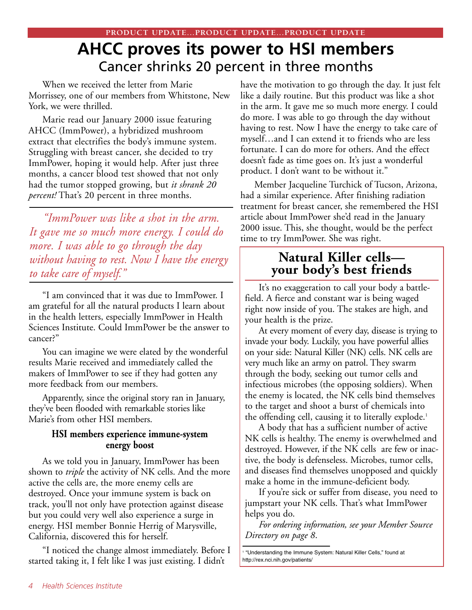# **AHCC proves its power to HSI members** Cancer shrinks 20 percent in three months

When we received the letter from Marie Morrissey, one of our members from Whitstone, New York, we were thrilled.

Marie read our January 2000 issue featuring AHCC (ImmPower), a hybridized mushroom extract that electrifies the body's immune system. Struggling with breast cancer, she decided to try ImmPower, hoping it would help. After just three months, a cancer blood test showed that not only had the tumor stopped growing, but *it shrank 20 percent!* That's 20 percent in three months.

*"ImmPower was like a shot in the arm. It gave me so much more energy. I could do more. I was able to go through the day without having to rest. Now I have the energy to take care of myself."*

"I am convinced that it was due to ImmPower. I am grateful for all the natural products I learn about in the health letters, especially ImmPower in Health Sciences Institute. Could ImmPower be the answer to cancer?"

You can imagine we were elated by the wonderful results Marie received and immediately called the makers of ImmPower to see if they had gotten any more feedback from our members.

Apparently, since the original story ran in January, they've been flooded with remarkable stories like Marie's from other HSI members.

## **HSI members experience immune-system energy boost**

As we told you in January, ImmPower has been shown to *triple* the activity of NK cells. And the more active the cells are, the more enemy cells are destroyed. Once your immune system is back on track, you'll not only have protection against disease but you could very well also experience a surge in energy. HSI member Bonnie Herrig of Marysville, California, discovered this for herself.

"I noticed the change almost immediately. Before I started taking it, I felt like I was just existing. I didn't

have the motivation to go through the day. It just felt like a daily routine. But this product was like a shot in the arm. It gave me so much more energy. I could do more. I was able to go through the day without having to rest. Now I have the energy to take care of myself…and I can extend it to friends who are less fortunate. I can do more for others. And the effect doesn't fade as time goes on. It's just a wonderful product. I don't want to be without it."

Member Jacqueline Turchick of Tucson, Arizona, had a similar experience. After finishing radiation treatment for breast cancer, she remembered the HSI article about ImmPower she'd read in the January 2000 issue. This, she thought, would be the perfect time to try ImmPower. She was right.

# **Natural Killer cells your body's best friends**

It's no exaggeration to call your body a battlefield. A fierce and constant war is being waged right now inside of you. The stakes are high, and your health is the prize.

At every moment of every day, disease is trying to invade your body. Luckily, you have powerful allies on your side: Natural Killer (NK) cells. NK cells are very much like an army on patrol. They swarm through the body, seeking out tumor cells and infectious microbes (the opposing soldiers). When the enemy is located, the NK cells bind themselves to the target and shoot a burst of chemicals into the offending cell, causing it to literally explode.<sup>1</sup>

A body that has a sufficient number of active NK cells is healthy. The enemy is overwhelmed and destroyed. However, if the NK cells are few or inactive, the body is defenseless. Microbes, tumor cells, and diseases find themselves unopposed and quickly make a home in the immune-deficient body.

If you're sick or suffer from disease, you need to jumpstart your NK cells. That's what ImmPower helps you do.

*For ordering information, see your Member Source Directory on page 8*.

<sup>1</sup> "Understanding the Immune System: Natural Killer Cells," found at http://rex.nci.nih.gov/patients/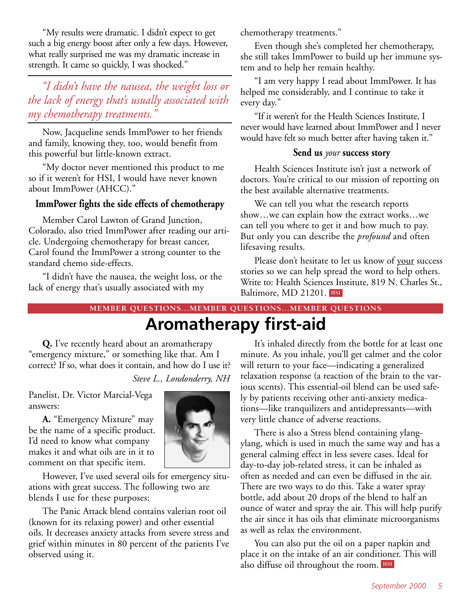"My results were dramatic. I didn't expect to get such a big energy boost after only a few days. However, what really surprised me was my dramatic increase in strength. It came so quickly, I was shocked."

# *"I didn't have the nausea, the weight loss or the lack of energy that's usually associated with my chemotherapy treatments."*

Now, Jacqueline sends ImmPower to her friends and family, knowing they, too, would benefit from this powerful but little-known extract.

"My doctor never mentioned this product to me so if it weren't for HSI, I would have never known about ImmPower (AHCC)."

## **ImmPower fights the side effects of chemotherapy**

Member Carol Lawton of Grand Junction, Colorado, also tried ImmPower after reading our article. Undergoing chemotherapy for breast cancer, Carol found the ImmPower a strong counter to the standard chemo side-effects.

"I didn't have the nausea, the weight loss, or the lack of energy that's usually associated with my

chemotherapy treatments."

Even though she's completed her chemotherapy, she still takes ImmPower to build up her immune system and to help her remain healthy.

"I am very happy I read about ImmPower. It has helped me considerably, and I continue to take it every day."

"If it weren't for the Health Sciences Institute, I never would have learned about ImmPower and I never would have felt so much better after having taken it."

## **Send us** *your* **success story**

Health Sciences Institute isn't just a network of doctors. You're critical to our mission of reporting on the best available alternative treatments.

We can tell you what the research reports show…we can explain how the extract works…we can tell you where to get it and how much to pay. But only you can describe the *profound* and often lifesaving results.

**HSI** Baltimore, MD 21201. Please don't hesitate to let us know of your success stories so we can help spread the word to help others. Write to: Health Sciences Institute, 819 N. Charles St.,

# **MEMBER QUESTIONS...MEMBER QUESTIONS...MEMBER QUESTIONS**

**Aromatherapy first-aid**

**Q.** I've recently heard about an aromatherapy "emergency mixture," or something like that. Am I correct? If so, what does it contain, and how do I use it?

*Steve L., Londonderry, NH*

Panelist, Dr. Victor Marcial-Vega answers:

**A.** "Emergency Mixture" may be the name of a specific product. I'd need to know what company makes it and what oils are in it to comment on that specific item.



However, I've used several oils for emergency situations with great success. The following two are blends I use for these purposes:

The Panic Attack blend contains valerian root oil (known for its relaxing power) and other essential oils. It decreases anxiety attacks from severe stress and grief within minutes in 80 percent of the patients I've observed using it.

It's inhaled directly from the bottle for at least one minute. As you inhale, you'll get calmer and the color will return to your face—indicating a generalized relaxation response (a reaction of the brain to the various scents). This essential-oil blend can be used safely by patients receiving other anti-anxiety medications—like tranquilizers and antidepressants—with very little chance of adverse reactions.

There is also a Stress blend containing ylangylang, which is used in much the same way and has a general calming effect in less severe cases. Ideal for day-to-day job-related stress, it can be inhaled as often as needed and can even be diffused in the air. There are two ways to do this. Take a water spray bottle, add about 20 drops of the blend to half an ounce of water and spray the air. This will help purify the air since it has oils that eliminate microorganisms as well as relax the environment.

You can also put the oil on a paper napkin and place it on the intake of an air conditioner. This will also diffuse oil throughout the room. **HSI**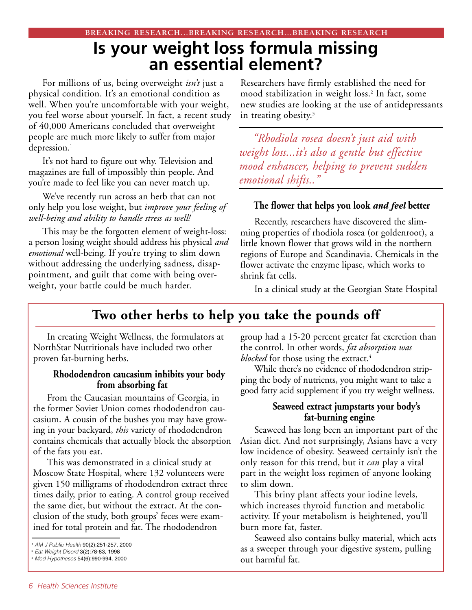# **Is your weight loss formula missing an essential element?**

For millions of us, being overweight *isn't* just a physical condition. It's an emotional condition as well. When you're uncomfortable with your weight, you feel worse about yourself. In fact, a recent study of 40,000 Americans concluded that overweight people are much more likely to suffer from major depression.<sup>1</sup>

It's not hard to figure out why. Television and magazines are full of impossibly thin people. And you're made to feel like you can never match up.

We've recently run across an herb that can not only help you lose weight, but *improve your feeling of well-being and ability to handle stress as well!*

This may be the forgotten element of weight-loss: a person losing weight should address his physical *and emotional* well-being. If you're trying to slim down without addressing the underlying sadness, disappointment, and guilt that come with being overweight, your battle could be much harder.

Researchers have firmly established the need for mood stabilization in weight loss.<sup>2</sup> In fact, some new studies are looking at the use of antidepressants in treating obesity. $3$ 

*"Rhodiola rosea doesn't just aid with weight loss...it's also a gentle but effective mood enhancer, helping to prevent sudden emotional shifts.."*

## **The flower that helps you look** *and feel* **better**

Recently, researchers have discovered the slimming properties of rhodiola rosea (or goldenroot), a little known flower that grows wild in the northern regions of Europe and Scandinavia. Chemicals in the flower activate the enzyme lipase, which works to shrink fat cells.

In a clinical study at the Georgian State Hospital

# **Two other herbs to help you take the pounds off**

In creating Weight Wellness, the formulators at NorthStar Nutritionals have included two other proven fat-burning herbs.

## **Rhododendron caucasium inhibits your body from absorbing fat**

From the Caucasian mountains of Georgia, in the former Soviet Union comes rhododendron caucasium. A cousin of the bushes you may have growing in your backyard, *this* variety of rhododendron contains chemicals that actually block the absorption of the fats you eat.

This was demonstrated in a clinical study at Moscow State Hospital, where 132 volunteers were given 150 milligrams of rhododendron extract three times daily, prior to eating. A control group received the same diet, but without the extract. At the conclusion of the study, both groups' feces were examined for total protein and fat. The rhododendron

group had a 15-20 percent greater fat excretion than the control. In other words, *fat absorption was* blocked for those using the extract.<sup>4</sup>

While there's no evidence of rhododendron stripping the body of nutrients, you might want to take a good fatty acid supplement if you try weight wellness.

## **Seaweed extract jumpstarts your body's fat-burning engine**

Seaweed has long been an important part of the Asian diet. And not surprisingly, Asians have a very low incidence of obesity. Seaweed certainly isn't the only reason for this trend, but it *can* play a vital part in the weight loss regimen of anyone looking to slim down.

This briny plant affects your iodine levels, which increases thyroid function and metabolic activity. If your metabolism is heightened, you'll burn more fat, faster.

Seaweed also contains bulky material, which acts as a sweeper through your digestive system, pulling out harmful fat.

<sup>1</sup> *AM J Public Health* 90(2):251-257, 2000

<sup>2</sup> *Eat Weight Disord* 3(2):78-83, 1998

<sup>3</sup> *Med Hypotheses* 54(6):990-994, 2000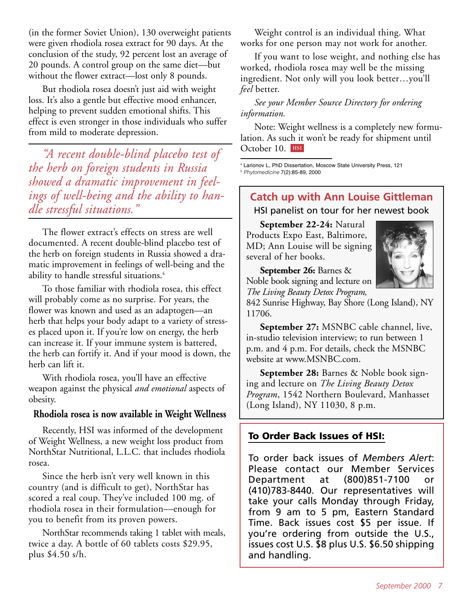(in the former Soviet Union), 130 overweight patients were given rhodiola rosea extract for 90 days. At the conclusion of the study, 92 percent lost an average of 20 pounds. A control group on the same diet—but without the flower extract—lost only 8 pounds.

But rhodiola rosea doesn't just aid with weight loss. It's also a gentle but effective mood enhancer, helping to prevent sudden emotional shifts. This effect is even stronger in those individuals who suffer from mild to moderate depression.

*"A recent double-blind placebo test of the herb on foreign students in Russia showed a dramatic improvement in feelings of well-being and the ability to handle stressful situations."*

The flower extract's effects on stress are well documented. A recent double-blind placebo test of the herb on foreign students in Russia showed a dramatic improvement in feelings of well-being and the ability to handle stressful situations.<sup>4</sup>

To those familiar with rhodiola rosea, this effect will probably come as no surprise. For years, the flower was known and used as an adaptogen—an herb that helps your body adapt to a variety of stresses placed upon it. If you're low on energy, the herb can increase it. If your immune system is battered, the herb can fortify it. And if your mood is down, the herb can lift it.

With rhodiola rosea, you'll have an effective weapon against the physical *and emotional* aspects of obesity.

# **Rhodiola rosea is now available in Weight Wellness**

Recently, HSI was informed of the development of Weight Wellness, a new weight loss product from NorthStar Nutritional, L.L.C. that includes rhodiola rosea.

Since the herb isn't very well known in this country (and is difficult to get), NorthStar has scored a real coup. They've included 100 mg. of rhodiola rosea in their formulation––enough for you to benefit from its proven powers.

NorthStar recommends taking 1 tablet with meals, twice a day. A bottle of 60 tablets costs \$29.95, plus \$4.50 s/h.

Weight control is an individual thing. What works for one person may not work for another.

If you want to lose weight, and nothing else has worked, rhodiola rosea may well be the missing ingredient. Not only will you look better…you'll *feel* better.

# *See your Member Source Directory for ordering information.*

**HSI** October 10. Note: Weight wellness is a completely new formulation. As such it won't be ready for shipment until

<sup>4</sup> Larionov L, PhD Dissertation, Moscow State University Press, 121

<sup>5</sup> *Phytomedicine* 7(2):85-89, 2000

# **Catch up with Ann Louise Gittleman**

HSI panelist on tour for her newest book

**September 22-24:** Natural Products Expo East, Baltimore, MD; Ann Louise will be signing several of her books.



**September 26:** Barnes & Noble book signing and lecture on *The Living Beauty Detox Program,*

842 Sunrise Highway, Bay Shore (Long Island), NY 11706.

**September 27:** MSNBC cable channel, live, in-studio television interview; to run between 1 p.m. and 4 p.m. For details, check the MSNBC website at www.MSNBC.com.

**September 28:** Barnes & Noble book signing and lecture on *The Living Beauty Detox Program*, 1542 Northern Boulevard, Manhasset (Long Island), NY 11030, 8 p.m.

# **To Order Back Issues of HSI:**

To order back issues of *Members Alert*: Please contact our Member Services Department at (800)851-7100 or (410)783-8440. Our representatives will take your calls Monday through Friday, from 9 am to 5 pm, Eastern Standard Time. Back issues cost \$5 per issue. If you're ordering from outside the U.S., issues cost U.S. \$8 plus U.S. \$6.50 shipping and handling.